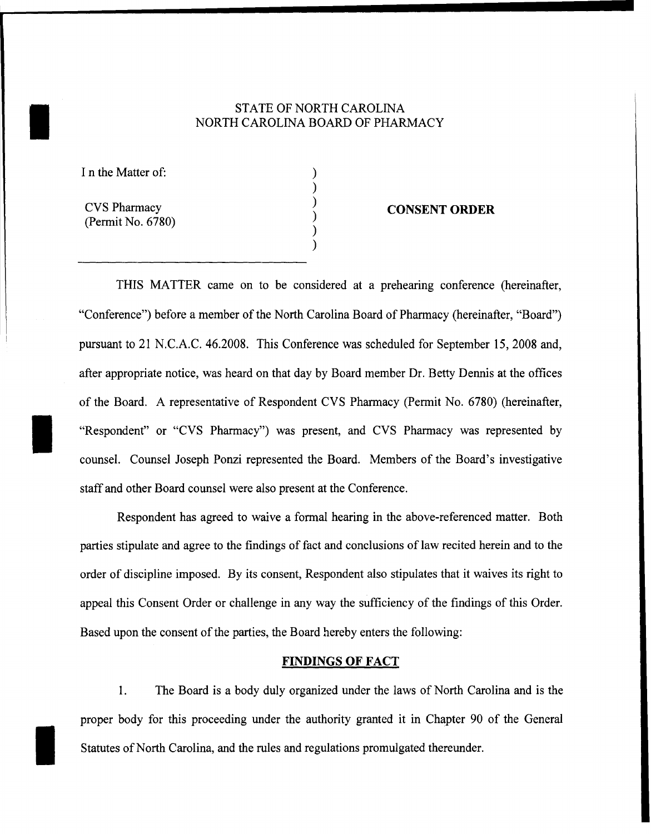# STATE OF NORTH CAROLINA<br>NORTH CAROLINA BOARD OF PHAR NORTH CAROLINA BOARD OF PHARMACY

) ) ) ) ) )

I n the Matter of:

CVS Pharmacy (Permit No. 6780)

I

#### **CONSENT ORDER**

THIS MATTER came on to be considered at a prehearing conference (hereinafter, "Conference") before a member of the North Carolina Board of Pharmacy (hereinafter, "Board") pursuant to 21 N.C.A.C. 46.2008. This Conference was scheduled for September 15,2008 and, after appropriate notice, was heard on that day by Board member Dr. Betty Dennis at the offices of the Board. A representative of Respondent CVS Pharmacy (Permit No. 6780) (hereinafter, "Respondent" or "CVS Pharmacy") was present, and CVS Pharmacy was represented by counsel. Counsel Joseph Ponzi represented the Board. Members of the Board's investigative staff and other Board counsel were also present at the Conference.

Respondent has agreed to waive a formal hearing in the above-referenced matter. Both parties stipulate and agree to the findings of fact and conclusions of law recited herein and to the order of discipline imposed. By its consent, Respondent also stipulates that it waives its right to appeal this Consent Order or challenge in any way the sufficiency of the findings of this Order. Based upon the consent of the parties, the Board hereby enters the following:

#### **FINDINGS OF FACT**

1. The Board is a body duly organized under the laws of North Carolina and is the proper body for this proceeding under the authority granted it in Chapter 90 of the General Statutes of North Carolina, and the rules and regulations promulgated thereunder.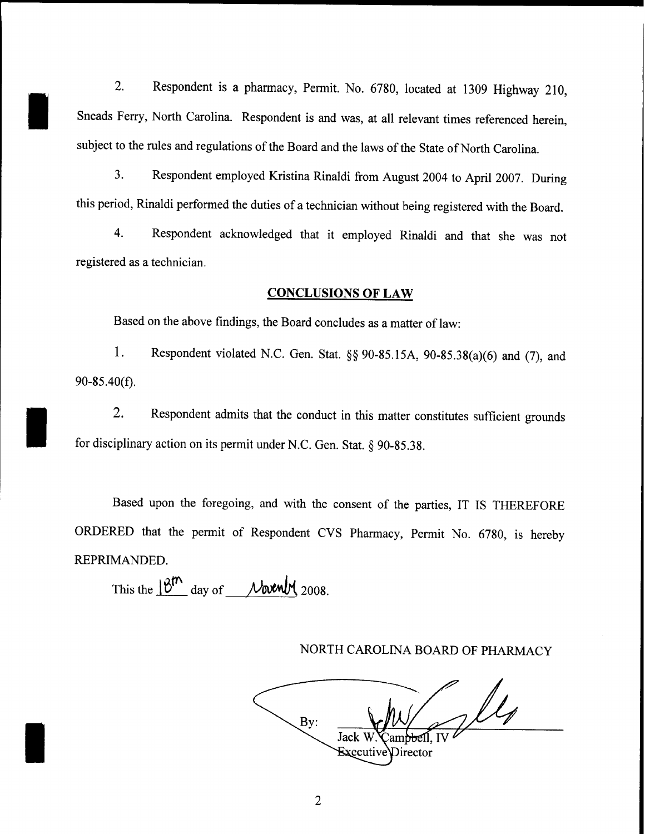2. Respondent is a pharmacy, Permit. No. 6780, located at 1309 Highway 210, Sneads Ferry, North Carolina. Respondent is and was, at all relevant times referenced herein, subject to the rules and regulations of the Board and the laws of the State of North Carolina.

3. Respondent employed Kristina Rinaldi from August 2004 to April 2007. During this period, Rinaldi performed the duties of a technician without being registered with the Board.

4. Respondent acknowledged that it employed Rinaldi and that she was not registered as a technician.

### **CONCLUSIONS OF LAW**

Based on the above findings, the Board concludes as a matter of law:

1. Respondent violated N.C. Gen. Stat. §§ 90-85.15A, 90-85.38(a)(6) and (7), and 90-85.40(f).

2. Respondent admits that the conduct in this matter constitutes sufficient grounds for disciplinary action on its permit under N.C. Gen. Stat. § 90-85.38.

Based upon the foregoing, and with the consent of the parties, IT IS THEREFORE ORDERED that the permit of Respondent CVS Pharmacy, Permit No. 6780, is hereby REPRIMANDED.

This the  $18^{m}$  day of <u>November</u> 2008.

I

I

## NORTH CAROLINA BOARD OF PHARMACY

lle By: Jack Executive Director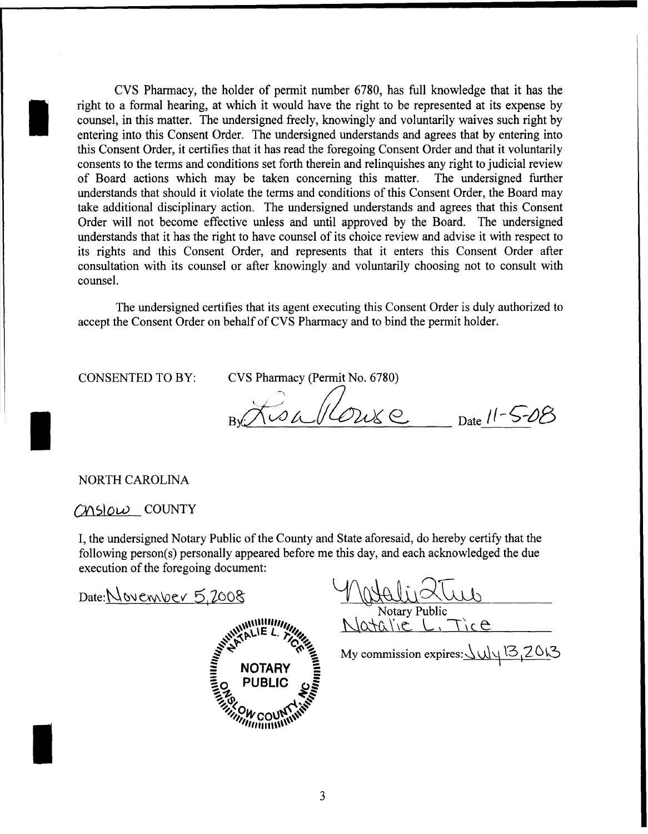CVS Pharmacy, the holder of permit number 6780, has full knowledge that it has the right to a formal hearing, at which it would have the right to be represented at its expense by counsel, in this matter. The undersigned freely, knowingly and voluntarily waives such right by entering into this Consent Order. The undersigned understands and agrees that by entering into this Consent Order, it certifies that it has read the foregoing Consent Order and that it voluntarily consents to the terms and conditions set forth therein and relinquishes any right to judicial review of Board actions which may be taken concerning this matter. The undersigned further understands that should it violate the terms and conditions of this Consent Order, the Board may take additional disciplinary action. The undersigned understands and agrees that this Consent Order will not become effective unless and until approved by the Board. The undersigned understands that it has the right to have counsel of its choice review and advise it with respect to its rights and this Consent Order, and represents that it enters this Consent Order after consultation with its counsel or after knowingly and voluntarily choosing not to consult with counsel.

The undersigned certifies that its agent executing this Consent Order is duly authorized to accept the Consent Order on behalf of CVS Pharmacy and to bind the permit holder.

CONSENTED TO BY:

I

I

I

CVS Pharmacy (Permit No. 6780)

 $B_{\text{max}}/10$   $C_{\text{max}}$   $D_{\text{ate}}$   $11-5-08$ 

## NORTH CAROLINA

# mslow countr

I, the undersigned Notary Public of the County and State aforesaid, do hereby certify that the following person(s) personally appeared before me this day, and each acknowledged the due execution of the foregoing document:

Date: November 5,2008



Watelis 2Tur Notary Public

Notary Public<br>Natalie L, Tice

My commission expires:  $\frac{\langle \psi \rangle}{\langle \psi \rangle} \frac{13}{3}$